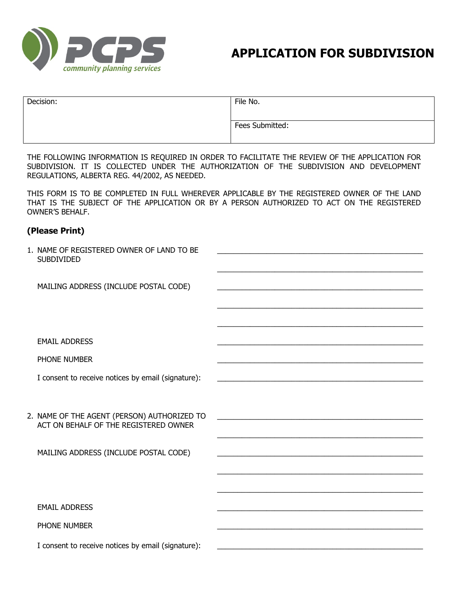

# **APPLICATION FOR SUBDIVISION**

| Decision: | File No.        |
|-----------|-----------------|
|           | Fees Submitted: |

THE FOLLOWING INFORMATION IS REQUIRED IN ORDER TO FACILITATE THE REVIEW OF THE APPLICATION FOR SUBDIVISION. IT IS COLLECTED UNDER THE AUTHORIZATION OF THE SUBDIVISION AND DEVELOPMENT REGULATIONS, ALBERTA REG. 44/2002, AS NEEDED.

THIS FORM IS TO BE COMPLETED IN FULL WHEREVER APPLICABLE BY THE REGISTERED OWNER OF THE LAND THAT IS THE SUBJECT OF THE APPLICATION OR BY A PERSON AUTHORIZED TO ACT ON THE REGISTERED OWNER'S BEHALF.

# **(Please Print)**

| 1. NAME OF REGISTERED OWNER OF LAND TO BE<br><b>SUBDIVIDED</b>                       |                                                                                                                      |
|--------------------------------------------------------------------------------------|----------------------------------------------------------------------------------------------------------------------|
| MAILING ADDRESS (INCLUDE POSTAL CODE)                                                | <u> 1989 - Johann Stoff, amerikansk politiker (d. 1989)</u>                                                          |
|                                                                                      |                                                                                                                      |
| <b>EMAIL ADDRESS</b>                                                                 |                                                                                                                      |
| PHONE NUMBER                                                                         |                                                                                                                      |
| I consent to receive notices by email (signature):                                   | <u> 1980 - Johann John Stone, mars an deus Amerikaansk kommunister (* 1950)</u>                                      |
|                                                                                      |                                                                                                                      |
| 2. NAME OF THE AGENT (PERSON) AUTHORIZED TO<br>ACT ON BEHALF OF THE REGISTERED OWNER |                                                                                                                      |
| MAILING ADDRESS (INCLUDE POSTAL CODE)                                                | <u> 1989 - Johann John Stein, mars an deus Amerikaansk kommunister (</u>                                             |
|                                                                                      | <u> 1989 - Johann Barbara, martxa alemaniar argumento de la contrada de la contrada de la contrada de la contrad</u> |
|                                                                                      |                                                                                                                      |
| <b>EMAIL ADDRESS</b>                                                                 |                                                                                                                      |
| PHONE NUMBER                                                                         |                                                                                                                      |
| I consent to receive notices by email (signature):                                   |                                                                                                                      |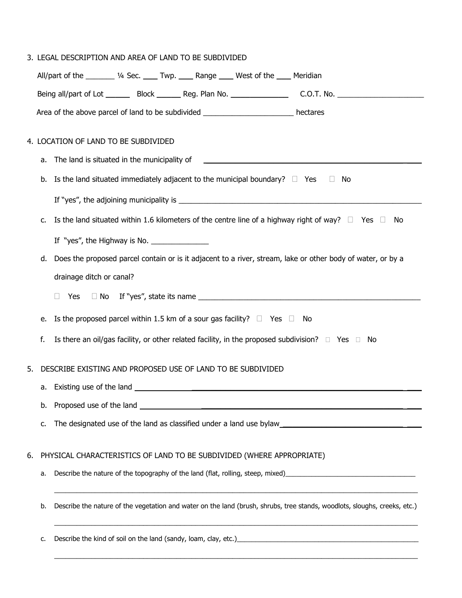|                                                                                                                                            |    | 3. LEGAL DESCRIPTION AND AREA OF LAND TO BE SUBDIVIDED                                                                    |  |  |  |
|--------------------------------------------------------------------------------------------------------------------------------------------|----|---------------------------------------------------------------------------------------------------------------------------|--|--|--|
|                                                                                                                                            |    | All/part of the ________ 1/4 Sec. ____ Twp. ____ Range ____ West of the ____ Meridian                                     |  |  |  |
|                                                                                                                                            |    | Being all/part of Lot _________ Block ________ Reg. Plan No. ____________________ C.O.T. No. _________________            |  |  |  |
|                                                                                                                                            |    | Area of the above parcel of land to be subdivided __________________________ hectares                                     |  |  |  |
|                                                                                                                                            |    | 4. LOCATION OF LAND TO BE SUBDIVIDED                                                                                      |  |  |  |
| The land is situated in the municipality of<br>The land is situated in the municipality of<br>а.                                           |    |                                                                                                                           |  |  |  |
|                                                                                                                                            |    | b. Is the land situated immediately adjacent to the municipal boundary? $\square$ Yes $\square$ No                        |  |  |  |
|                                                                                                                                            |    |                                                                                                                           |  |  |  |
|                                                                                                                                            |    |                                                                                                                           |  |  |  |
| Is the land situated within 1.6 kilometers of the centre line of a highway right of way? $\Box$ Yes $\Box$ No<br>c.                        |    |                                                                                                                           |  |  |  |
|                                                                                                                                            |    | If "yes", the Highway is No. $\frac{1}{\sqrt{1-\frac{1}{2}}}\left\lfloor \frac{1}{2}\right\rfloor$                        |  |  |  |
|                                                                                                                                            | d. | Does the proposed parcel contain or is it adjacent to a river, stream, lake or other body of water, or by a               |  |  |  |
| drainage ditch or canal?                                                                                                                   |    |                                                                                                                           |  |  |  |
|                                                                                                                                            |    | $\Box$                                                                                                                    |  |  |  |
| Is the proposed parcel within 1.5 km of a sour gas facility? $\Box$ Yes $\Box$ No<br>е.                                                    |    |                                                                                                                           |  |  |  |
|                                                                                                                                            | f. | Is there an oil/gas facility, or other related facility, in the proposed subdivision? $\square$ Yes $\square$ No          |  |  |  |
| DESCRIBE EXISTING AND PROPOSED USE OF LAND TO BE SUBDIVIDED<br>5.                                                                          |    |                                                                                                                           |  |  |  |
|                                                                                                                                            | а. | Existing use of the land                                                                                                  |  |  |  |
|                                                                                                                                            | b. |                                                                                                                           |  |  |  |
|                                                                                                                                            | c. |                                                                                                                           |  |  |  |
| 6.                                                                                                                                         |    | PHYSICAL CHARACTERISTICS OF LAND TO BE SUBDIVIDED (WHERE APPROPRIATE)                                                     |  |  |  |
|                                                                                                                                            | а. |                                                                                                                           |  |  |  |
|                                                                                                                                            |    |                                                                                                                           |  |  |  |
|                                                                                                                                            | b. | Describe the nature of the vegetation and water on the land (brush, shrubs, tree stands, woodlots, sloughs, creeks, etc.) |  |  |  |
| Describe the kind of soil on the land (sandy, loam, clay, etc.) [14] Describe the kind of soil on the land (sandy, loam, clay, etc.)<br>c. |    |                                                                                                                           |  |  |  |

 $\_$  ,  $\_$  ,  $\_$  ,  $\_$  ,  $\_$  ,  $\_$  ,  $\_$  ,  $\_$  ,  $\_$  ,  $\_$  ,  $\_$  ,  $\_$  ,  $\_$  ,  $\_$  ,  $\_$  ,  $\_$  ,  $\_$  ,  $\_$  ,  $\_$  ,  $\_$  ,  $\_$  ,  $\_$  ,  $\_$  ,  $\_$  ,  $\_$  ,  $\_$  ,  $\_$  ,  $\_$  ,  $\_$  ,  $\_$  ,  $\_$  ,  $\_$  ,  $\_$  ,  $\_$  ,  $\_$  ,  $\_$  ,  $\_$  ,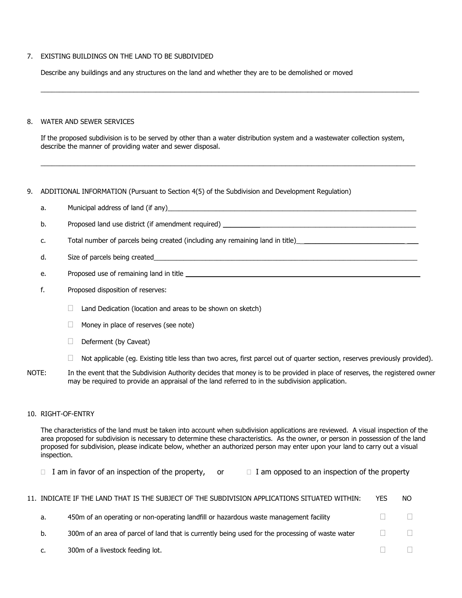#### 7. EXISTING BUILDINGS ON THE LAND TO BE SUBDIVIDED

Describe any buildings and any structures on the land and whether they are to be demolished or moved

#### 8. WATER AND SEWER SERVICES

If the proposed subdivision is to be served by other than a water distribution system and a wastewater collection system, describe the manner of providing water and sewer disposal.

\_\_\_\_\_\_\_\_\_\_\_\_\_\_\_\_\_\_\_\_\_\_\_\_\_\_\_\_\_\_\_\_\_\_\_\_\_\_\_\_\_\_\_\_\_\_\_\_\_\_\_\_\_\_\_\_\_\_\_\_\_\_\_\_\_\_\_\_\_\_\_\_\_\_\_\_\_\_\_\_\_\_\_\_\_\_\_\_\_\_\_\_\_\_\_\_\_\_\_\_\_

 $\Box$ 

## 9. ADDITIONAL INFORMATION (Pursuant to Section 4(5) of the Subdivision and Development Regulation)

a. Municipal address of land (if any)

b. Proposed land use district (if amendment required) \_\_\_\_\_\_\_\_\_\_\_\_\_\_\_\_\_\_\_\_\_\_\_\_\_\_

- c. Total number of parcels being created (including any remaining land in title) \_\_\_\_\_\_\_\_\_\_\_\_\_\_\_\_\_\_\_\_\_\_\_\_\_\_\_\_\_
- d. Size of parcels being created
- e. Proposed use of remaining land in title **\_\_\_\_\_\_\_\_\_\_\_\_\_\_\_\_\_\_\_\_\_\_\_\_\_\_\_\_\_\_\_\_\_ \_\_\_**
- f. Proposed disposition of reserves:
	- $\Box$  Land Dedication (location and areas to be shown on sketch)
	- $\Box$  Money in place of reserves (see note)
	- $\Box$  Deferment (by Caveat)
	- $\Box$  Not applicable (eg. Existing title less than two acres, first parcel out of quarter section, reserves previously provided).
- NOTE: In the event that the Subdivision Authority decides that money is to be provided in place of reserves, the registered owner may be required to provide an appraisal of the land referred to in the subdivision application.

#### 10. RIGHT-OF-ENTRY

The characteristics of the land must be taken into account when subdivision applications are reviewed. A visual inspection of the area proposed for subdivision is necessary to determine these characteristics. As the owner, or person in possession of the land proposed for subdivision, please indicate below, whether an authorized person may enter upon your land to carry out a visual inspection.

I am in favor of an inspection of the property, or  $\Box$  I am opposed to an inspection of the property

|    | 11. Indicate if the land that is the subject of the subdivision applications situated within:    | YES | NO.    |
|----|--------------------------------------------------------------------------------------------------|-----|--------|
| а. | 450m of an operating or non-operating landfill or hazardous waste management facility            |     |        |
| b. | 300m of an area of parcel of land that is currently being used for the processing of waste water |     | $\Box$ |
| c. | 300m of a livestock feeding lot.                                                                 |     |        |